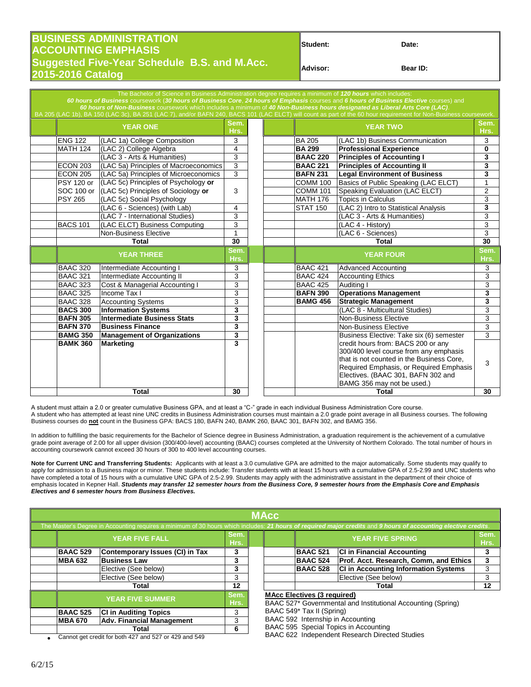## **BUSINESS ADMINISTRATION Student: Date: ACCOUNTING EMPHASIS Suggested Five-Year Schedule B.S. and M.Acc. Advisor: Bear ID: 2015-2016 Catalog**

| Student: |  |
|----------|--|
|          |  |

60 hours of Business coursework (30 hours of Business Core, 24 hours of Emphasis courses and 6 hours of Business Elective cours *60 hours of Non-Business* coursework which includes a minimum of *40 Non-Business hours designated as Liberal Arts Core (LAC)*. **YEAR ONE** Sem. **Hrs. YEAR TWO Sem. Hrs.** ENG 122 (LAC 1a) College Composition 3 BA 205 (LAC 1b) Business Communication 3 MATH 124 (LAC 2) College Algebra **14 8 | BA 299 | Professional Experience 0 0 14 D BAAC 220 Principles of Accounting 1** 1 3 (LAC 3 - Arts & Humanities) 3 **BAAC 220 Principles of Accounting I 3** ECON 203 (LAC 5a) Principles of Macroeconomics 3 **BAAC 221 Principles of Accounting II** 3 ECON 205 (LAC 5a) Principles of Microeconomics 3 **BAFN 231 Legal Environment of Business** 3 PSY 120 or (LAC 5c) Principles of Psychology **or** COMM 100 Basics of Public Speaking (LAC ELCT) 1 SOC 100 or (LAC 5c) Principles of Sociology **or** 3 COMM 101 Speaking Evaluation (LAC ELCT) 2<br>PSY 265 (LAC 5c) Social Psychology **or** 3 MATH 176 Topics in Calculus 3 3  $\begin{array}{|l|c|c|c|}\n\hline \text{(LAC 5c) Social Psychology} & & & \text{MATH 176} \\
\hline \text{(LAC 6 - Sciences) (with Lab)} & & 4 & & \text{STAT 150}\n\end{array}$ 4 STAT 150 (LAC 2) Intro to Statistical Analysis 3<br>3 (LAC 3 - Arts & Humanities) 3 (LAC 7 - International Studies) 3<br>
(LAC ELCT) Business Computing 3<br>
(LAC 4 - History) BACS 101 (LAC ELCT) Business Computing 3 (LAC 4 - History) 3 3 Non-Business Elective 1 (LAC 6 - Sciences) 3 **Total 30 Total 30 YEAR THREE Hrs. YEAR FOUR Sem. Hrs.** BAAC 320 Intermediate Accounting I a  $\begin{array}{|c|c|c|c|c|c|} \hline 3 & 3 & 4 & 3 \ \hline \end{array}$  BAAC 421 Advanced Accounting  $\begin{array}{|c|c|c|c|c|c|c|c|c|} \hline 3 & 3 & 3 & 3 & 3 \ \hline \end{array}$ BAAC 321 Intermediate Accounting II 3 BAAC 424 Accounting Ethics 3 BAAC 323 Cost & Managerial Accounting I 3 BAAC 425 Auditing I 3 BAAC 325 Income Tax I 3 **BAFN 390 Operations Management 3** BAAC 328 Accounting Systems 3 **BAMG 456 Strategic Management** 3<br> **BACS 300 Information Systems** 3 **3 BACS 300 Information Systems** 3 **(LAC 8 - Multicultural Studies)**<br>Non-Business Elective **BAFN 305 Intermediate Business Stats 3** Non-Business Elective 3 **BAFN 370** Business Finance **3** 3<br> **BAMG 350** Management of Organizations 3<br> **3** Business Elective: Take six (6) semester 3 **BAMG 350 Management of Organizations 3** Business Elective: Take six (6) semester credit hours from: BACS 200 or any 300/400 level course from any emphasis that is not counted in the Business Core, Required Emphasis, or Required Emphasis Electives. (BAAC 301, BAFN 302 and BAMG 356 may not be used.) 3 **B**BACK 3 3 **Total 30 Total 30**

A student must attain a 2.0 or greater cumulative Business GPA, and at least a "C-" grade in each individual Business Administration Core course. A student who has attempted at least nine UNC credits in Business Administration courses must maintain a 2.0 grade point average in all Business courses. The following Business courses do **not** count in the Business GPA: BACS 180, BAFN 240, BAMK 260, BAAC 301, BAFN 302, and BAMG 356.

In addition to fulfilling the basic requirements for the Bachelor of Science degree in Business Administration, a graduation requirement is the achievement of a cumulative grade point average of 2.00 for all upper division (300/400-level) accounting (BAAC) courses completed at the University of Northern Colorado. The total number of hours in accounting coursework cannot exceed 30 hours of 300 to 400 level accounting courses.

**Note for Current UNC and Transferring Students:** Applicants with at least a 3.0 cumulative GPA are admitted to the major automatically. Some students may qualify to apply for admission to a Business major or minor. These students include: Transfer students with at least 15 hours with a cumulative GPA of 2.5-2.99 and UNC students who have completed a total of 15 hours with a cumulative UNC GPA of 2.5-2.99. Students may apply with the administrative assistant in the department of their choice of emphasis located in Kepner Hall. *Students may transfer 12 semester hours from the Business Core, 9 semester hours from the Emphasis Core and Emphasis Electives and 6 semester hours from Business Electives.*

| MAcc                                                                                                                                                            |                         |                                  |                                       |                                                                                                    |                                                |                         |                                             |              |  |  |
|-----------------------------------------------------------------------------------------------------------------------------------------------------------------|-------------------------|----------------------------------|---------------------------------------|----------------------------------------------------------------------------------------------------|------------------------------------------------|-------------------------|---------------------------------------------|--------------|--|--|
| The Master's Degree in Accounting requires a minimum of 30 hours which includes: 21 hours of required major credits and 9 hours of accounting elective credits. |                         |                                  |                                       |                                                                                                    |                                                |                         |                                             |              |  |  |
|                                                                                                                                                                 | <b>YEAR FIVE FALL</b>   |                                  | Sem.<br>Hrs.                          |                                                                                                    |                                                | <b>YEAR FIVE SPRING</b> |                                             | Sem.<br>Hrs. |  |  |
|                                                                                                                                                                 | <b>BAAC 529</b>         | Contemporary Issues (CI) in Tax  | 3                                     |                                                                                                    |                                                | <b>BAAC 521</b>         | <b>CI in Financial Accounting</b>           |              |  |  |
|                                                                                                                                                                 | <b>MBA 632</b>          | <b>Business Law</b>              | 3                                     |                                                                                                    |                                                | <b>BAAC 524</b>         | Prof. Acct. Research, Comm, and Ethics      |              |  |  |
|                                                                                                                                                                 |                         | Elective (See below)             | 3                                     |                                                                                                    |                                                | <b>BAAC 528</b>         | <b>CI in Accounting Information Systems</b> | 3            |  |  |
|                                                                                                                                                                 |                         | Elective (See below)             | 3                                     |                                                                                                    |                                                |                         | Elective (See below)                        |              |  |  |
| Total                                                                                                                                                           |                         | $12 \,$                          |                                       |                                                                                                    |                                                | Total                   | 12                                          |              |  |  |
|                                                                                                                                                                 | <b>YEAR FIVE SUMMER</b> |                                  | Sem.<br>Hrs.                          | <b>MAcc Electives (3 required)</b><br>BAAC 527* Governmental and Institutional Accounting (Spring) |                                                |                         |                                             |              |  |  |
|                                                                                                                                                                 | <b>BAAC 525</b>         | <b>CI in Auditing Topics</b>     | 3                                     | BAAC 549* Tax II (Spring)                                                                          |                                                |                         |                                             |              |  |  |
|                                                                                                                                                                 | <b>MBA 670</b>          | <b>Adv. Financial Management</b> | 3                                     |                                                                                                    |                                                |                         | BAAC 592 Internship in Accounting           |              |  |  |
| 6<br>Total                                                                                                                                                      |                         |                                  | BAAC 595 Special Topics in Accounting |                                                                                                    |                                                |                         |                                             |              |  |  |
| Cannot get credit for both 427 and 527 or 429 and 549                                                                                                           |                         |                                  |                                       |                                                                                                    | BAAC 622 Independent Research Directed Studies |                         |                                             |              |  |  |

Cannot get credit for both 427 and 527 or 429 and 549